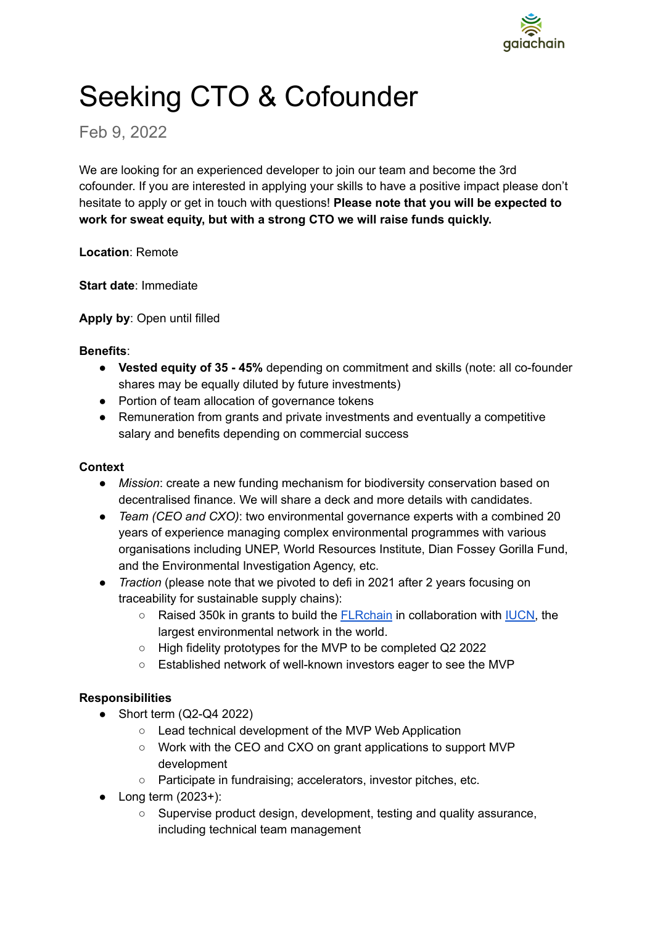

# Seeking CTO & Cofounder

## Feb 9, 2022

We are looking for an experienced developer to join our team and become the 3rd cofounder. If you are interested in applying your skills to have a positive impact please don't hesitate to apply or get in touch with questions! **Please note that you will be expected to work for sweat equity, but with a strong CTO we will raise funds quickly.**

**Location**: Remote

**Start date**: Immediate

**Apply by**: Open until filled

#### **Benefits**:

- **Vested equity of 35 - 45%** depending on commitment and skills (note: all co-founder shares may be equally diluted by future investments)
- Portion of team allocation of governance tokens
- Remuneration from grants and private investments and eventually a competitive salary and benefits depending on commercial success

#### **Context**

- *Mission*: create a new funding mechanism for biodiversity conservation based on decentralised finance. We will share a deck and more details with candidates.
- *Team (CEO and CXO)*: two environmental governance experts with a combined 20 years of experience managing complex environmental programmes with various organisations including UNEP, World Resources Institute, Dian Fossey Gorilla Fund, and the Environmental Investigation Agency, etc.
- *Traction* (please note that we pivoted to defi in 2021 after 2 years focusing on traceability for sustainable supply chains):
	- Raised 350k in grants to build the **[FLRchain](https://medium.com/gaiachain/introducing-the-flrchain-6a80aef97f9c)** in collaboration with **IUCN**, the largest environmental network in the world.
	- High fidelity prototypes for the MVP to be completed Q2 2022
	- Established network of well-known investors eager to see the MVP

#### **Responsibilities**

- $\bullet$  Short term (Q2-Q4 2022)
	- Lead technical development of the MVP Web Application
	- Work with the CEO and CXO on grant applications to support MVP development
	- Participate in fundraising; accelerators, investor pitches, etc.
- $\bullet$  Long term (2023+):
	- Supervise product design, development, testing and quality assurance, including technical team management